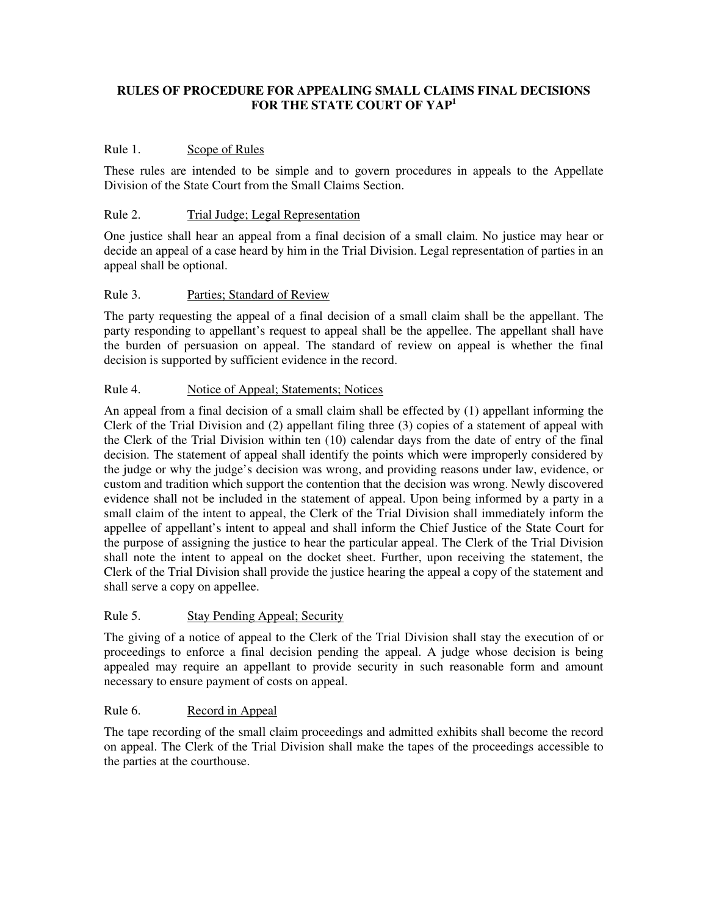# **RULES OF PROCEDURE FOR APPEALING SMALL CLAIMS FINAL DECISIONS**  FOR THE STATE COURT OF YAP<sup>1</sup>

## Rule 1. Scope of Rules

These rules are intended to be simple and to govern procedures in appeals to the Appellate Division of the State Court from the Small Claims Section.

#### Rule 2. Trial Judge; Legal Representation

One justice shall hear an appeal from a final decision of a small claim. No justice may hear or decide an appeal of a case heard by him in the Trial Division. Legal representation of parties in an appeal shall be optional.

## Rule 3. Parties; Standard of Review

The party requesting the appeal of a final decision of a small claim shall be the appellant. The party responding to appellant's request to appeal shall be the appellee. The appellant shall have the burden of persuasion on appeal. The standard of review on appeal is whether the final decision is supported by sufficient evidence in the record.

## Rule 4. Notice of Appeal; Statements; Notices

An appeal from a final decision of a small claim shall be effected by (1) appellant informing the Clerk of the Trial Division and (2) appellant filing three (3) copies of a statement of appeal with the Clerk of the Trial Division within ten (10) calendar days from the date of entry of the final decision. The statement of appeal shall identify the points which were improperly considered by the judge or why the judge's decision was wrong, and providing reasons under law, evidence, or custom and tradition which support the contention that the decision was wrong. Newly discovered evidence shall not be included in the statement of appeal. Upon being informed by a party in a small claim of the intent to appeal, the Clerk of the Trial Division shall immediately inform the appellee of appellant's intent to appeal and shall inform the Chief Justice of the State Court for the purpose of assigning the justice to hear the particular appeal. The Clerk of the Trial Division shall note the intent to appeal on the docket sheet. Further, upon receiving the statement, the Clerk of the Trial Division shall provide the justice hearing the appeal a copy of the statement and shall serve a copy on appellee.

#### Rule 5. Stay Pending Appeal; Security

The giving of a notice of appeal to the Clerk of the Trial Division shall stay the execution of or proceedings to enforce a final decision pending the appeal. A judge whose decision is being appealed may require an appellant to provide security in such reasonable form and amount necessary to ensure payment of costs on appeal.

#### Rule 6. Record in Appeal

The tape recording of the small claim proceedings and admitted exhibits shall become the record on appeal. The Clerk of the Trial Division shall make the tapes of the proceedings accessible to the parties at the courthouse.